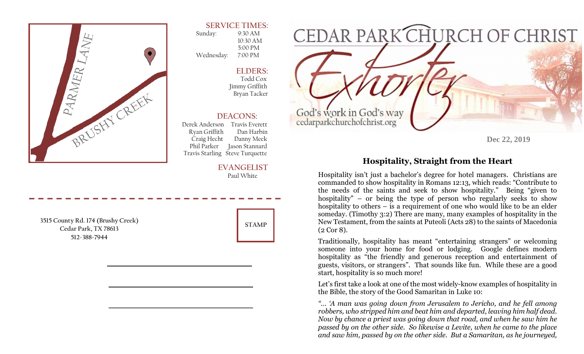

## **SERVICE TIMES:**

 Sunday: 9:30 AM 10:30 AM 5:00 PM Wednesday: 7:00 PM

> **ELDERS:**  Todd Cox Jimmy Griffith Bryan Tacker

## **DEACONS:**

 Derek Anderson Travis Everett Ryan Griffith Dan Harbin Craig Hecht Danny Meek Phil Parker Jason Stannard Travis Starling Steve Turquette

## **EVANGELIST** Paul White

**3515 County Rd. 174 (Brushy Creek) Cedar Park, TX 78613 512-388-7944** 





**Dec 22, 2019** 

## **Hospitality, Straight from the Heart**

Hospitality isn't just a bachelor's degree for hotel managers. Christians are commanded to show hospitality in Romans 12:13, which reads: "Contribute to the needs of the saints and seek to show hospitality." Being "given to hospitality" – or being the type of person who regularly seeks to show hospitality to others  $-\overline{\text{is}}$  a requirement of one who would like to be an elder someday. (Timothy 3:2) There are many, many examples of hospitality in the New Testament, from the saints at Puteoli (Acts 28) to the saints of Macedonia (2 Cor 8).

Traditionally, hospitality has meant "entertaining strangers" or welcoming someone into your home for food or lodging. Google defines modern hospitality as "the friendly and generous reception and entertainment of guests, visitors, or strangers". That sounds like fun. While these are a good start, hospitality is so much more!

Let's first take a look at one of the most widely-know examples of hospitality in the Bible, the story of the Good Samaritan in Luke 10:

*"… 'A man was going down from Jerusalem to Jericho, and he fell among robbers, who stripped him and beat him and departed, leaving him half dead. Now by chance a priest was going down that road, and when he saw him he passed by on the other side. So likewise a Levite, when he came to the place and saw him, passed by on the other side. But a Samaritan, as he journeyed,*